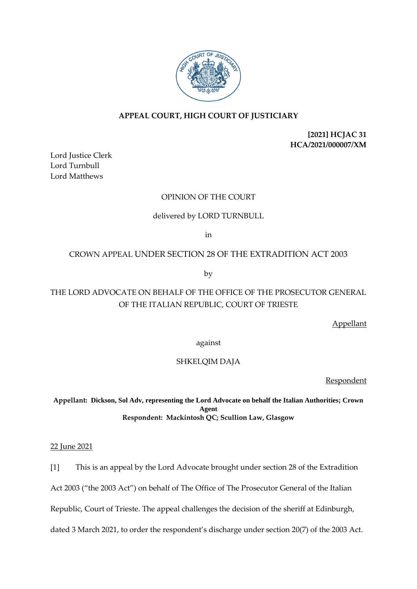

# **APPEAL COURT, HIGH COURT OF JUSTICIARY**

**[2021] HCJAC 31 HCA/2021/000007/XM** 

Lord Justice Clerk Lord Turnbull Lord Matthews

# OPINION OF THE COURT

### delivered by LORD TURNBULL

in

### CROWN APPEAL UNDER SECTION 28 OF THE EXTRADITION ACT 2003

by

# THE LORD ADVOCATE ON BEHALF OF THE OFFICE OF THE PROSECUTOR GENERAL OF THE ITALIAN REPUBLIC, COURT OF TRIESTE

Appellant

against

### SHKELQIM DAJA

Respondent

**Appellant: Dickson, Sol Adv, representing the Lord Advocate on behalf the Italian Authorities; Crown Agent Respondent: Mackintosh QC; Scullion Law, Glasgow** 

22 June 2021

[1] This is an appeal by the Lord Advocate brought under section 28 of the Extradition

Act 2003 ("the 2003 Act") on behalf of The Office of The Prosecutor General of the Italian

Republic, Court of Trieste. The appeal challenges the decision of the sheriff at Edinburgh,

dated 3 March 2021, to order the respondent's discharge under section 20(7) of the 2003 Act.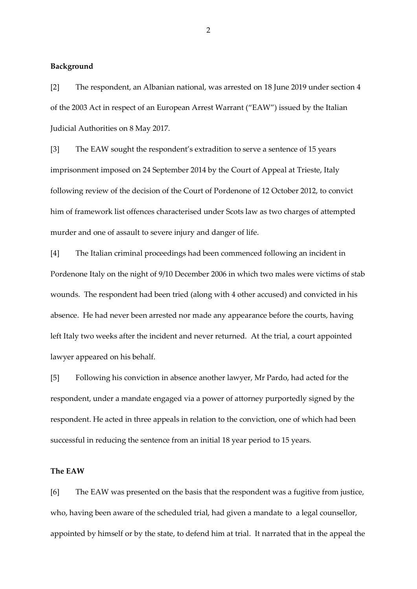#### **Background**

[2] The respondent, an Albanian national, was arrested on 18 June 2019 under section 4 of the 2003 Act in respect of an European Arrest Warrant ("EAW") issued by the Italian Judicial Authorities on 8 May 2017.

[3] The EAW sought the respondent's extradition to serve a sentence of 15 years imprisonment imposed on 24 September 2014 by the Court of Appeal at Trieste, Italy following review of the decision of the Court of Pordenone of 12 October 2012, to convict him of framework list offences characterised under Scots law as two charges of attempted murder and one of assault to severe injury and danger of life.

[4] The Italian criminal proceedings had been commenced following an incident in Pordenone Italy on the night of 9/10 December 2006 in which two males were victims of stab wounds. The respondent had been tried (along with 4 other accused) and convicted in his absence. He had never been arrested nor made any appearance before the courts, having left Italy two weeks after the incident and never returned. At the trial, a court appointed lawyer appeared on his behalf.

[5] Following his conviction in absence another lawyer, Mr Pardo, had acted for the respondent, under a mandate engaged via a power of attorney purportedly signed by the respondent. He acted in three appeals in relation to the conviction, one of which had been successful in reducing the sentence from an initial 18 year period to 15 years.

### **The EAW**

[6] The EAW was presented on the basis that the respondent was a fugitive from justice, who, having been aware of the scheduled trial, had given a mandate to a legal counsellor, appointed by himself or by the state, to defend him at trial. It narrated that in the appeal the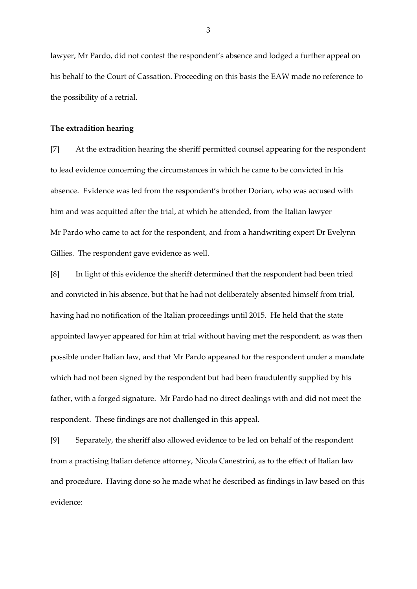lawyer, Mr Pardo, did not contest the respondent's absence and lodged a further appeal on his behalf to the Court of Cassation. Proceeding on this basis the EAW made no reference to the possibility of a retrial.

### **The extradition hearing**

[7] At the extradition hearing the sheriff permitted counsel appearing for the respondent to lead evidence concerning the circumstances in which he came to be convicted in his absence. Evidence was led from the respondent's brother Dorian, who was accused with him and was acquitted after the trial, at which he attended, from the Italian lawyer Mr Pardo who came to act for the respondent, and from a handwriting expert Dr Evelynn Gillies. The respondent gave evidence as well.

[8] In light of this evidence the sheriff determined that the respondent had been tried and convicted in his absence, but that he had not deliberately absented himself from trial, having had no notification of the Italian proceedings until 2015. He held that the state appointed lawyer appeared for him at trial without having met the respondent, as was then possible under Italian law, and that Mr Pardo appeared for the respondent under a mandate which had not been signed by the respondent but had been fraudulently supplied by his father, with a forged signature. Mr Pardo had no direct dealings with and did not meet the respondent. These findings are not challenged in this appeal.

[9] Separately, the sheriff also allowed evidence to be led on behalf of the respondent from a practising Italian defence attorney, Nicola Canestrini, as to the effect of Italian law and procedure. Having done so he made what he described as findings in law based on this evidence: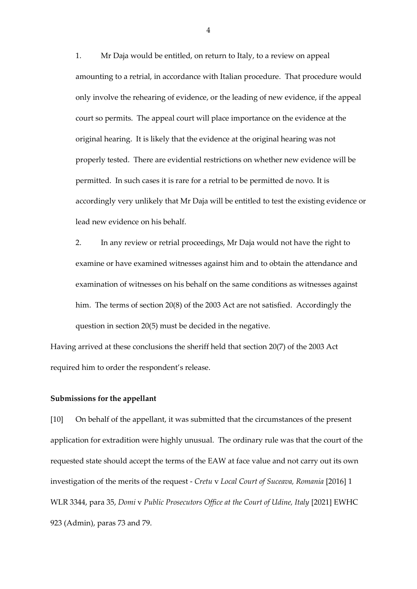1. Mr Daja would be entitled, on return to Italy, to a review on appeal amounting to a retrial, in accordance with Italian procedure. That procedure would only involve the rehearing of evidence, or the leading of new evidence, if the appeal court so permits. The appeal court will place importance on the evidence at the original hearing. It is likely that the evidence at the original hearing was not properly tested. There are evidential restrictions on whether new evidence will be permitted. In such cases it is rare for a retrial to be permitted de novo. It is accordingly very unlikely that Mr Daja will be entitled to test the existing evidence or lead new evidence on his behalf.

2. In any review or retrial proceedings, Mr Daja would not have the right to examine or have examined witnesses against him and to obtain the attendance and examination of witnesses on his behalf on the same conditions as witnesses against him. The terms of section 20(8) of the 2003 Act are not satisfied. Accordingly the question in section 20(5) must be decided in the negative.

Having arrived at these conclusions the sheriff held that section 20(7) of the 2003 Act required him to order the respondent's release.

#### **Submissions for the appellant**

[10] On behalf of the appellant, it was submitted that the circumstances of the present application for extradition were highly unusual. The ordinary rule was that the court of the requested state should accept the terms of the EAW at face value and not carry out its own investigation of the merits of the request - *Cretu* v *Local Court of Suceava, Romania* [2016] 1 WLR 3344, para 35, *Domi* v *Public Prosecutors Office at the Court of Udine, Italy* [2021] EWHC 923 (Admin), paras 73 and 79.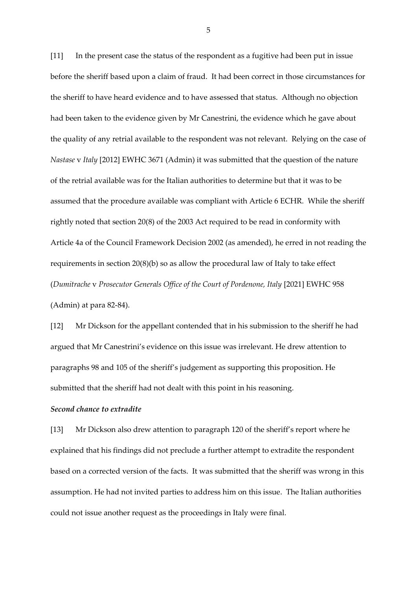[11] In the present case the status of the respondent as a fugitive had been put in issue before the sheriff based upon a claim of fraud. It had been correct in those circumstances for the sheriff to have heard evidence and to have assessed that status. Although no objection had been taken to the evidence given by Mr Canestrini, the evidence which he gave about the quality of any retrial available to the respondent was not relevant. Relying on the case of *Nastase* v *Italy* [2012] EWHC 3671 (Admin) it was submitted that the question of the nature of the retrial available was for the Italian authorities to determine but that it was to be assumed that the procedure available was compliant with Article 6 ECHR. While the sheriff rightly noted that section 20(8) of the 2003 Act required to be read in conformity with Article 4a of the Council Framework Decision 2002 (as amended), he erred in not reading the requirements in section 20(8)(b) so as allow the procedural law of Italy to take effect (*Dumitrache* v *Prosecutor Generals Office of the Court of Pordenone, Italy* [2021] EWHC 958 (Admin) at para 82-84).

[12] Mr Dickson for the appellant contended that in his submission to the sheriff he had argued that Mr Canestrini's evidence on this issue was irrelevant. He drew attention to paragraphs 98 and 105 of the sheriff's judgement as supporting this proposition. He submitted that the sheriff had not dealt with this point in his reasoning.

### *Second chance to extradite*

[13] Mr Dickson also drew attention to paragraph 120 of the sheriff's report where he explained that his findings did not preclude a further attempt to extradite the respondent based on a corrected version of the facts. It was submitted that the sheriff was wrong in this assumption. He had not invited parties to address him on this issue. The Italian authorities could not issue another request as the proceedings in Italy were final.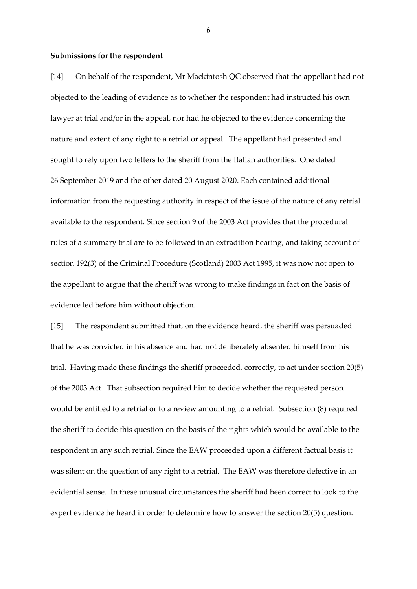#### **Submissions for the respondent**

[14] On behalf of the respondent, Mr Mackintosh QC observed that the appellant had not objected to the leading of evidence as to whether the respondent had instructed his own lawyer at trial and/or in the appeal, nor had he objected to the evidence concerning the nature and extent of any right to a retrial or appeal. The appellant had presented and sought to rely upon two letters to the sheriff from the Italian authorities. One dated 26 September 2019 and the other dated 20 August 2020. Each contained additional information from the requesting authority in respect of the issue of the nature of any retrial available to the respondent. Since section 9 of the 2003 Act provides that the procedural rules of a summary trial are to be followed in an extradition hearing, and taking account of section 192(3) of the Criminal Procedure (Scotland) 2003 Act 1995, it was now not open to the appellant to argue that the sheriff was wrong to make findings in fact on the basis of evidence led before him without objection.

[15] The respondent submitted that, on the evidence heard, the sheriff was persuaded that he was convicted in his absence and had not deliberately absented himself from his trial. Having made these findings the sheriff proceeded, correctly, to act under section 20(5) of the 2003 Act. That subsection required him to decide whether the requested person would be entitled to a retrial or to a review amounting to a retrial. Subsection (8) required the sheriff to decide this question on the basis of the rights which would be available to the respondent in any such retrial. Since the EAW proceeded upon a different factual basis it was silent on the question of any right to a retrial. The EAW was therefore defective in an evidential sense. In these unusual circumstances the sheriff had been correct to look to the expert evidence he heard in order to determine how to answer the section 20(5) question.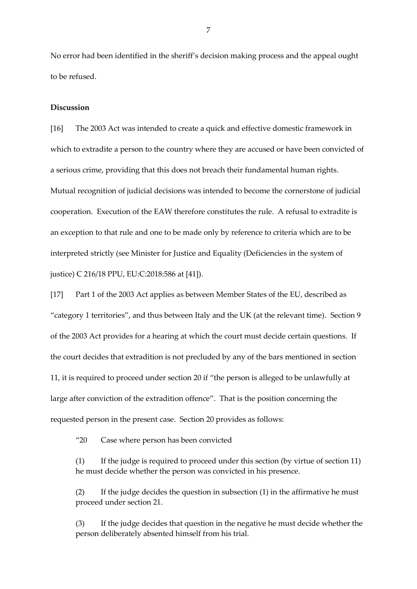No error had been identified in the sheriff's decision making process and the appeal ought to be refused.

### **Discussion**

[16] The 2003 Act was intended to create a quick and effective domestic framework in which to extradite a person to the country where they are accused or have been convicted of a serious crime, providing that this does not breach their fundamental human rights. Mutual recognition of judicial decisions was intended to become the cornerstone of judicial cooperation. Execution of the EAW therefore constitutes the rule. A refusal to extradite is an exception to that rule and one to be made only by reference to criteria which are to be interpreted strictly (see Minister for Justice and Equality (Deficiencies in the system of justice) C 216/18 PPU, EU:C:2018:586 at [41]).

[17] Part 1 of the 2003 Act applies as between Member States of the EU, described as "category 1 territories", and thus between Italy and the UK (at the relevant time). Section 9 of the 2003 Act provides for a hearing at which the court must decide certain questions. If the court decides that extradition is not precluded by any of the bars mentioned in section 11, it is required to proceed under section 20 if "the person is alleged to be unlawfully at large after conviction of the extradition offence". That is the position concerning the requested person in the present case. Section 20 provides as follows:

"20 Case where person has been convicted

(1) If the judge is required to proceed under this section (by virtue of section 11) he must decide whether the person was convicted in his presence.

(2) If the judge decides the question in subsection (1) in the affirmative he must proceed under section 21.

(3) If the judge decides that question in the negative he must decide whether the person deliberately absented himself from his trial.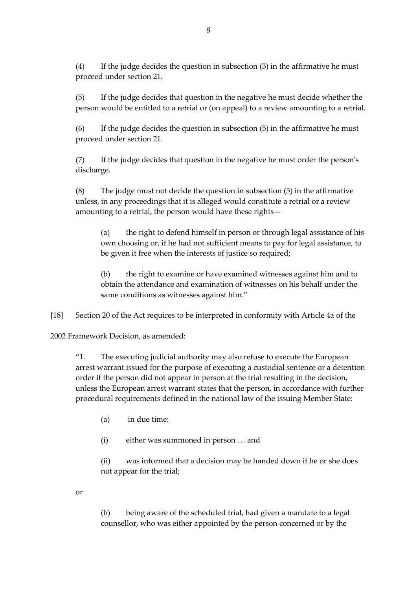(4) If the judge decides the question in subsection (3) in the affirmative he must proceed under section 21.

(5) If the judge decides that question in the negative he must decide whether the person would be entitled to a retrial or (on appeal) to a review amounting to a retrial.

(6) If the judge decides the question in subsection (5) in the affirmative he must proceed under section 21.

(7) If the judge decides that question in the negative he must order the person's discharge.

(8) The judge must not decide the question in subsection (5) in the affirmative unless, in any proceedings that it is alleged would constitute a retrial or a review amounting to a retrial, the person would have these rights—

(a) the right to defend himself in person or through legal assistance of his own choosing or, if he had not sufficient means to pay for legal assistance, to be given it free when the interests of justice so required;

(b) the right to examine or have examined witnesses against him and to obtain the attendance and examination of witnesses on his behalf under the same conditions as witnesses against him."

[18] Section 20 of the Act requires to be interpreted in conformity with Article 4a of the

2002 Framework Decision, as amended:

"1. The executing judicial authority may also refuse to execute the European arrest warrant issued for the purpose of executing a custodial sentence or a detention order if the person did not appear in person at the trial resulting in the decision, unless the European arrest warrant states that the person, in accordance with further procedural requirements defined in the national law of the issuing Member State:

(a) in due time:

(i) either was summoned in person … and

(ii) was informed that a decision may be handed down if he or she does not appear for the trial;

or

(b) being aware of the scheduled trial, had given a mandate to a legal counsellor, who was either appointed by the person concerned or by the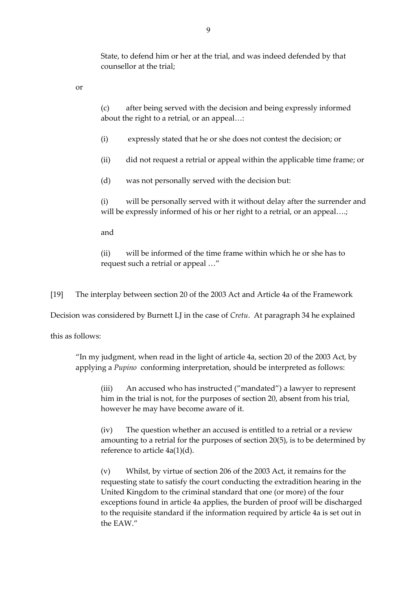State, to defend him or her at the trial, and was indeed defended by that counsellor at the trial;

or

(c) after being served with the decision and being expressly informed about the right to a retrial, or an appeal…:

(i) expressly stated that he or she does not contest the decision; or

(ii) did not request a retrial or appeal within the applicable time frame; or

(d) was not personally served with the decision but:

(i) will be personally served with it without delay after the surrender and will be expressly informed of his or her right to a retrial, or an appeal...;

and

(ii) will be informed of the time frame within which he or she has to request such a retrial or appeal …"

[19] The interplay between section 20 of the 2003 Act and Article 4a of the Framework

Decision was considered by Burnett LJ in the case of *Cretu*. At paragraph 34 he explained

this as follows:

"In my judgment, when read in the light of article 4a, section 20 of the 2003 Act, by applying a *Pupino* conforming interpretation, should be interpreted as follows:

(iii) An accused who has instructed ("mandated") a lawyer to represent him in the trial is not, for the purposes of section 20, absent from his trial, however he may have become aware of it.

(iv) The question whether an accused is entitled to a retrial or a review amounting to a retrial for the purposes of section 20(5), is to be determined by reference to article 4a(1)(d).

(v) Whilst, by virtue of section 206 of the 2003 Act, it remains for the requesting state to satisfy the court conducting the extradition hearing in the United Kingdom to the criminal standard that one (or more) of the four exceptions found in article 4a applies, the burden of proof will be discharged to the requisite standard if the information required by article 4a is set out in the EAW."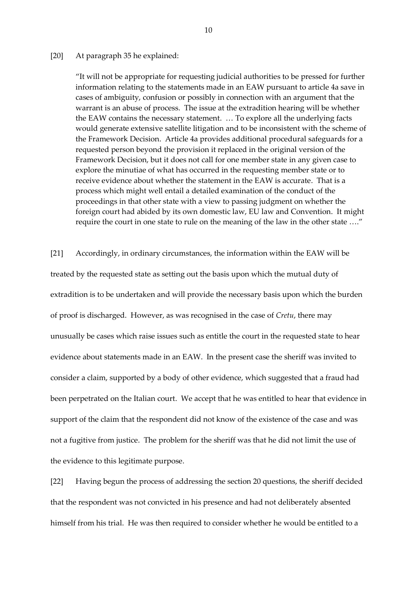#### [20] At paragraph 35 he explained:

"It will not be appropriate for requesting judicial authorities to be pressed for further information relating to the statements made in an EAW pursuant to article 4a save in cases of ambiguity, confusion or possibly in connection with an argument that the warrant is an abuse of process. The issue at the extradition hearing will be whether the EAW contains the necessary statement. … To explore all the underlying facts would generate extensive satellite litigation and to be inconsistent with the scheme of the Framework Decision. Article 4a provides additional procedural safeguards for a requested person beyond the provision it replaced in the original version of the Framework Decision, but it does not call for one member state in any given case to explore the minutiae of what has occurred in the requesting member state or to receive evidence about whether the statement in the EAW is accurate. That is a process which might well entail a detailed examination of the conduct of the proceedings in that other state with a view to passing judgment on whether the foreign court had abided by its own domestic law, EU law and Convention. It might require the court in one state to rule on the meaning of the law in the other state …."

[21] Accordingly, in ordinary circumstances, the information within the EAW will be treated by the requested state as setting out the basis upon which the mutual duty of extradition is to be undertaken and will provide the necessary basis upon which the burden of proof is discharged. However, as was recognised in the case of *Cretu*, there may unusually be cases which raise issues such as entitle the court in the requested state to hear evidence about statements made in an EAW. In the present case the sheriff was invited to consider a claim, supported by a body of other evidence, which suggested that a fraud had been perpetrated on the Italian court. We accept that he was entitled to hear that evidence in support of the claim that the respondent did not know of the existence of the case and was not a fugitive from justice. The problem for the sheriff was that he did not limit the use of the evidence to this legitimate purpose.

[22] Having begun the process of addressing the section 20 questions, the sheriff decided that the respondent was not convicted in his presence and had not deliberately absented himself from his trial. He was then required to consider whether he would be entitled to a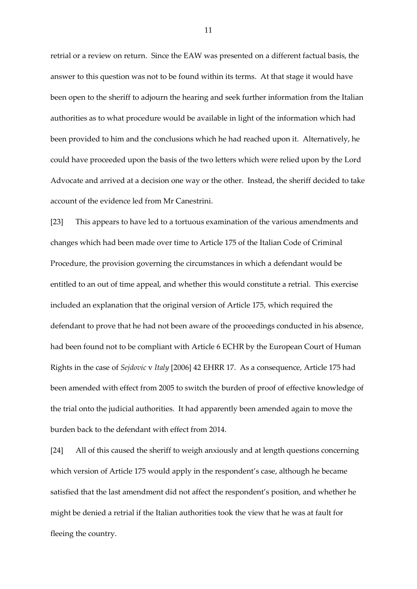retrial or a review on return. Since the EAW was presented on a different factual basis, the answer to this question was not to be found within its terms. At that stage it would have been open to the sheriff to adjourn the hearing and seek further information from the Italian authorities as to what procedure would be available in light of the information which had been provided to him and the conclusions which he had reached upon it. Alternatively, he could have proceeded upon the basis of the two letters which were relied upon by the Lord Advocate and arrived at a decision one way or the other. Instead, the sheriff decided to take account of the evidence led from Mr Canestrini.

[23] This appears to have led to a tortuous examination of the various amendments and changes which had been made over time to Article 175 of the Italian Code of Criminal Procedure, the provision governing the circumstances in which a defendant would be entitled to an out of time appeal, and whether this would constitute a retrial. This exercise included an explanation that the original version of Article 175, which required the defendant to prove that he had not been aware of the proceedings conducted in his absence, had been found not to be compliant with Article 6 ECHR by the European Court of Human Rights in the case of *Sejdovic* v *Italy* [2006] 42 EHRR 17. As a consequence, Article 175 had been amended with effect from 2005 to switch the burden of proof of effective knowledge of the trial onto the judicial authorities. It had apparently been amended again to move the burden back to the defendant with effect from 2014.

[24] All of this caused the sheriff to weigh anxiously and at length questions concerning which version of Article 175 would apply in the respondent's case, although he became satisfied that the last amendment did not affect the respondent's position, and whether he might be denied a retrial if the Italian authorities took the view that he was at fault for fleeing the country.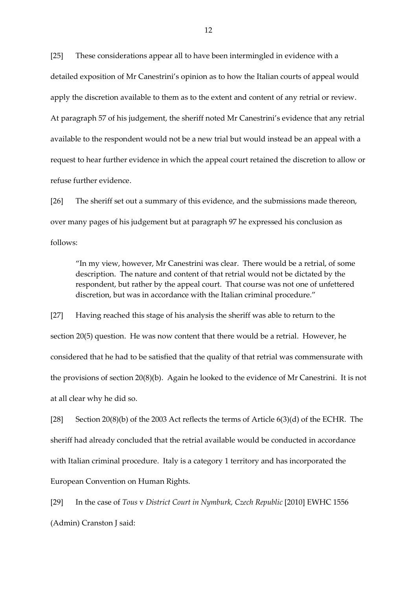[25] These considerations appear all to have been intermingled in evidence with a detailed exposition of Mr Canestrini's opinion as to how the Italian courts of appeal would apply the discretion available to them as to the extent and content of any retrial or review. At paragraph 57 of his judgement, the sheriff noted Mr Canestrini's evidence that any retrial available to the respondent would not be a new trial but would instead be an appeal with a request to hear further evidence in which the appeal court retained the discretion to allow or refuse further evidence.

[26] The sheriff set out a summary of this evidence, and the submissions made thereon, over many pages of his judgement but at paragraph 97 he expressed his conclusion as follows:

"In my view, however, Mr Canestrini was clear. There would be a retrial, of some description. The nature and content of that retrial would not be dictated by the respondent, but rather by the appeal court. That course was not one of unfettered discretion, but was in accordance with the Italian criminal procedure."

[27] Having reached this stage of his analysis the sheriff was able to return to the section 20(5) question. He was now content that there would be a retrial. However, he considered that he had to be satisfied that the quality of that retrial was commensurate with the provisions of section 20(8)(b). Again he looked to the evidence of Mr Canestrini. It is not at all clear why he did so.

[28] Section 20(8)(b) of the 2003 Act reflects the terms of Article  $6(3)(d)$  of the ECHR. The sheriff had already concluded that the retrial available would be conducted in accordance with Italian criminal procedure. Italy is a category 1 territory and has incorporated the European Convention on Human Rights.

[29] In the case of *Tous* v *District Court in Nymburk, Czech Republic* [2010] EWHC 1556 (Admin) Cranston J said: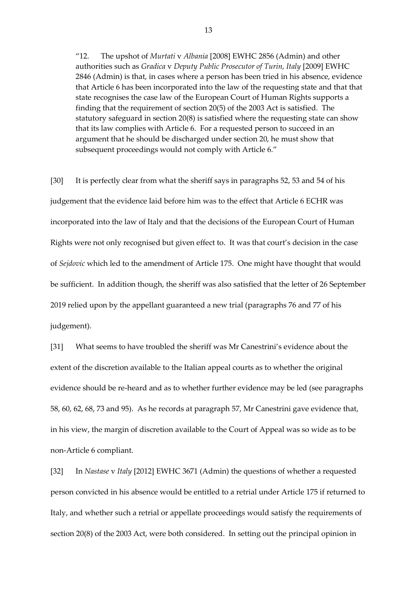"12. The upshot of *Murtati* v *Albania* [2008] EWHC 2856 (Admin) and other authorities such as *Gradica* v *Deputy Public Prosecutor of Turin, Italy* [2009] EWHC 2846 (Admin) is that, in cases where a person has been tried in his absence, evidence that Article 6 has been incorporated into the law of the requesting state and that that state recognises the case law of the European Court of Human Rights supports a finding that the requirement of section 20(5) of the 2003 Act is satisfied. The statutory safeguard in section 20(8) is satisfied where the requesting state can show that its law complies with Article 6. For a requested person to succeed in an argument that he should be discharged under section 20, he must show that subsequent proceedings would not comply with Article 6."

[30] It is perfectly clear from what the sheriff says in paragraphs 52, 53 and 54 of his judgement that the evidence laid before him was to the effect that Article 6 ECHR was incorporated into the law of Italy and that the decisions of the European Court of Human Rights were not only recognised but given effect to. It was that court's decision in the case of *Sejdovic* which led to the amendment of Article 175. One might have thought that would be sufficient. In addition though, the sheriff was also satisfied that the letter of 26 September 2019 relied upon by the appellant guaranteed a new trial (paragraphs 76 and 77 of his judgement).

[31] What seems to have troubled the sheriff was Mr Canestrini's evidence about the extent of the discretion available to the Italian appeal courts as to whether the original evidence should be re-heard and as to whether further evidence may be led (see paragraphs 58, 60, 62, 68, 73 and 95). As he records at paragraph 57, Mr Canestrini gave evidence that, in his view, the margin of discretion available to the Court of Appeal was so wide as to be non-Article 6 compliant.

[32] In *Nastase* v *Italy* [2012] EWHC 3671 (Admin) the questions of whether a requested person convicted in his absence would be entitled to a retrial under Article 175 if returned to Italy, and whether such a retrial or appellate proceedings would satisfy the requirements of section 20(8) of the 2003 Act, were both considered. In setting out the principal opinion in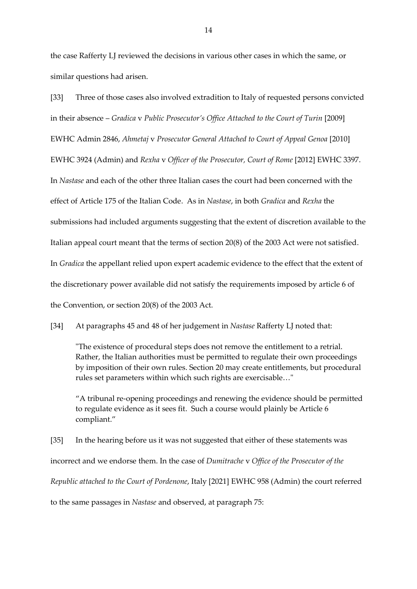the case Rafferty LJ reviewed the decisions in various other cases in which the same, or similar questions had arisen.

[33] Three of those cases also involved extradition to Italy of requested persons convicted in their absence – *Gradica* v *Public Prosecutor's Office Attached to the Court of Turin* [2009] EWHC Admin 2846, *Ahmetaj* v *Prosecutor General Attached to Court of Appeal Genoa* [2010] EWHC 3924 (Admin) and *Rexha* v *Officer of the Prosecutor, Court of Rome* [2012] EWHC 3397. In *Nastase* and each of the other three Italian cases the court had been concerned with the effect of Article 175 of the Italian Code. As in *Nastase*, in both *Gradica* and *Rexha* the submissions had included arguments suggesting that the extent of discretion available to the Italian appeal court meant that the terms of section 20(8) of the 2003 Act were not satisfied. In *Gradica* the appellant relied upon expert academic evidence to the effect that the extent of the discretionary power available did not satisfy the requirements imposed by article 6 of the Convention, or section 20(8) of the 2003 Act.

[34] At paragraphs 45 and 48 of her judgement in *Nastase* Rafferty LJ noted that:

"The existence of procedural steps does not remove the entitlement to a retrial. Rather, the Italian authorities must be permitted to regulate their own proceedings by imposition of their own rules. Section 20 may create entitlements, but procedural rules set parameters within which such rights are exercisable…"

"A tribunal re-opening proceedings and renewing the evidence should be permitted to regulate evidence as it sees fit. Such a course would plainly be Article 6 compliant."

[35] In the hearing before us it was not suggested that either of these statements was incorrect and we endorse them. In the case of *Dumitrache* v *Office of the Prosecutor of the Republic attached to the Court of Pordenone*, Italy [2021] EWHC 958 (Admin) the court referred

to the same passages in *Nastase* and observed, at paragraph 75: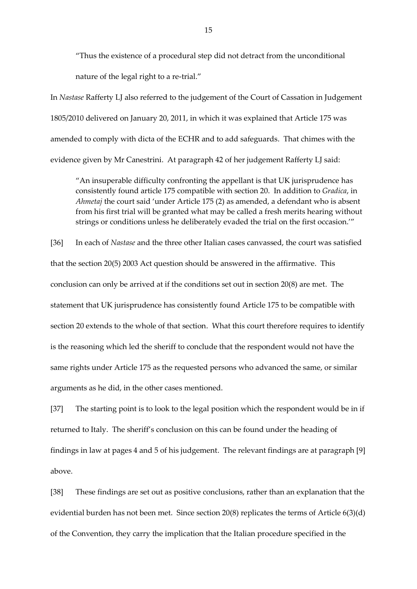"Thus the existence of a procedural step did not detract from the unconditional nature of the legal right to a re-trial."

In *Nastase* Rafferty LJ also referred to the judgement of the Court of Cassation in Judgement 1805/2010 delivered on January 20, 2011, in which it was explained that Article 175 was amended to comply with dicta of the ECHR and to add safeguards. That chimes with the evidence given by Mr Canestrini. At paragraph 42 of her judgement Rafferty LJ said:

"An insuperable difficulty confronting the appellant is that UK jurisprudence has consistently found article 175 compatible with section 20. In addition to *Gradica*, in *Ahmetaj* the court said 'under Article 175 (2) as amended, a defendant who is absent from his first trial will be granted what may be called a fresh merits hearing without strings or conditions unless he deliberately evaded the trial on the first occasion.'"

[36] In each of *Nastase* and the three other Italian cases canvassed, the court was satisfied that the section 20(5) 2003 Act question should be answered in the affirmative. This conclusion can only be arrived at if the conditions set out in section 20(8) are met. The statement that UK jurisprudence has consistently found Article 175 to be compatible with section 20 extends to the whole of that section. What this court therefore requires to identify is the reasoning which led the sheriff to conclude that the respondent would not have the same rights under Article 175 as the requested persons who advanced the same, or similar arguments as he did, in the other cases mentioned.

[37] The starting point is to look to the legal position which the respondent would be in if returned to Italy. The sheriff's conclusion on this can be found under the heading of findings in law at pages 4 and 5 of his judgement. The relevant findings are at paragraph [9] above.

[38] These findings are set out as positive conclusions, rather than an explanation that the evidential burden has not been met. Since section 20(8) replicates the terms of Article 6(3)(d) of the Convention, they carry the implication that the Italian procedure specified in the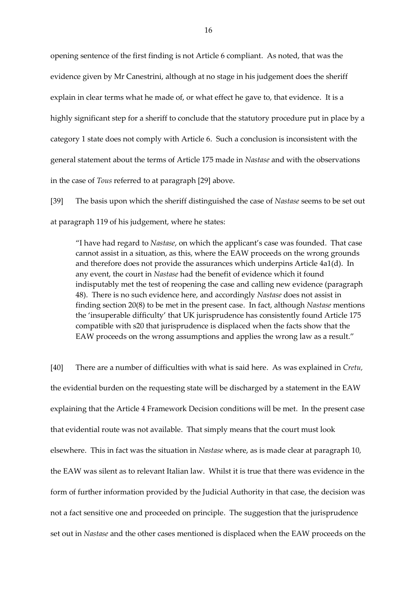opening sentence of the first finding is not Article 6 compliant. As noted, that was the evidence given by Mr Canestrini, although at no stage in his judgement does the sheriff explain in clear terms what he made of, or what effect he gave to, that evidence. It is a highly significant step for a sheriff to conclude that the statutory procedure put in place by a category 1 state does not comply with Article 6. Such a conclusion is inconsistent with the general statement about the terms of Article 175 made in *Nastase* and with the observations in the case of *Tous* referred to at paragraph [29] above.

[39] The basis upon which the sheriff distinguished the case of *Nastase* seems to be set out at paragraph 119 of his judgement, where he states:

"I have had regard to *Nastase*, on which the applicant's case was founded. That case cannot assist in a situation, as this, where the EAW proceeds on the wrong grounds and therefore does not provide the assurances which underpins Article 4a1(d). In any event, the court in *Nastase* had the benefit of evidence which it found indisputably met the test of reopening the case and calling new evidence (paragraph 48). There is no such evidence here, and accordingly *Nastase* does not assist in finding section 20(8) to be met in the present case. In fact, although *Nastase* mentions the 'insuperable difficulty' that UK jurisprudence has consistently found Article 175 compatible with s20 that jurisprudence is displaced when the facts show that the EAW proceeds on the wrong assumptions and applies the wrong law as a result."

[40] There are a number of difficulties with what is said here. As was explained in *Cretu,* the evidential burden on the requesting state will be discharged by a statement in the EAW explaining that the Article 4 Framework Decision conditions will be met. In the present case that evidential route was not available. That simply means that the court must look elsewhere. This in fact was the situation in *Nastase* where, as is made clear at paragraph 10, the EAW was silent as to relevant Italian law. Whilst it is true that there was evidence in the form of further information provided by the Judicial Authority in that case, the decision was not a fact sensitive one and proceeded on principle. The suggestion that the jurisprudence set out in *Nastase* and the other cases mentioned is displaced when the EAW proceeds on the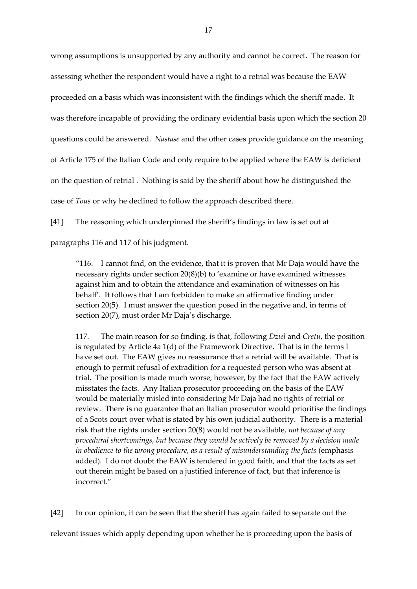wrong assumptions is unsupported by any authority and cannot be correct. The reason for assessing whether the respondent would have a right to a retrial was because the EAW proceeded on a basis which was inconsistent with the findings which the sheriff made. It was therefore incapable of providing the ordinary evidential basis upon which the section 20 questions could be answered. *Nastase* and the other cases provide guidance on the meaning of Article 175 of the Italian Code and only require to be applied where the EAW is deficient on the question of retrial . Nothing is said by the sheriff about how he distinguished the case of *Tous* or why he declined to follow the approach described there.

[41] The reasoning which underpinned the sheriff's findings in law is set out at

paragraphs 116 and 117 of his judgment.

"116. I cannot find, on the evidence, that it is proven that Mr Daja would have the necessary rights under section 20(8)(b) to 'examine or have examined witnesses against him and to obtain the attendance and examination of witnesses on his behalf'. It follows that I am forbidden to make an affirmative finding under section 20(5). I must answer the question posed in the negative and, in terms of section 20(7), must order Mr Daja's discharge.

117. The main reason for so finding, is that, following *Dziel* and *Cretu*, the position is regulated by Article 4a 1(d) of the Framework Directive. That is in the terms I have set out. The EAW gives no reassurance that a retrial will be available. That is enough to permit refusal of extradition for a requested person who was absent at trial. The position is made much worse, however, by the fact that the EAW actively misstates the facts. Any Italian prosecutor proceeding on the basis of the EAW would be materially misled into considering Mr Daja had no rights of retrial or review. There is no guarantee that an Italian prosecutor would prioritise the findings of a Scots court over what is stated by his own judicial authority. There is a material risk that the rights under section 20(8) would not be available, *not because of any procedural shortcomings, but because they would be actively be removed by a decision made in obedience to the wrong procedure, as a result of misunderstanding the facts (emphasis* added). I do not doubt the EAW is tendered in good faith, and that the facts as set out therein might be based on a justified inference of fact, but that inference is incorrect."

[42] In our opinion, it can be seen that the sheriff has again failed to separate out the relevant issues which apply depending upon whether he is proceeding upon the basis of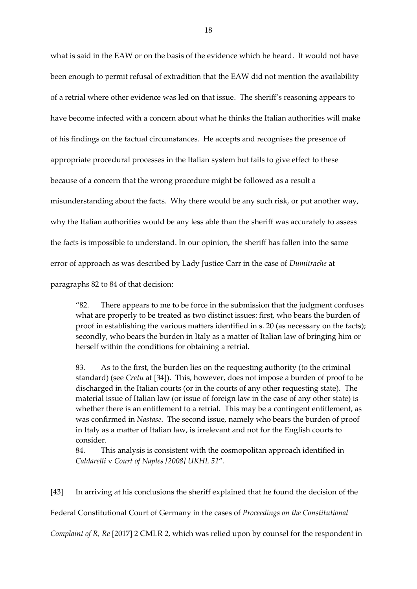what is said in the EAW or on the basis of the evidence which he heard. It would not have been enough to permit refusal of extradition that the EAW did not mention the availability of a retrial where other evidence was led on that issue. The sheriff's reasoning appears to have become infected with a concern about what he thinks the Italian authorities will make of his findings on the factual circumstances. He accepts and recognises the presence of appropriate procedural processes in the Italian system but fails to give effect to these because of a concern that the wrong procedure might be followed as a result a misunderstanding about the facts. Why there would be any such risk, or put another way, why the Italian authorities would be any less able than the sheriff was accurately to assess the facts is impossible to understand. In our opinion, the sheriff has fallen into the same error of approach as was described by Lady Justice Carr in the case of *Dumitrache* at paragraphs 82 to 84 of that decision:

"82. There appears to me to be force in the submission that the judgment confuses what are properly to be treated as two distinct issues: first, who bears the burden of proof in establishing the various matters identified in s. 20 (as necessary on the facts); secondly, who bears the burden in Italy as a matter of Italian law of bringing him or herself within the conditions for obtaining a retrial.

83. As to the first, the burden lies on the requesting authority (to the criminal standard) (see *Cretu* at [34]). This, however, does not impose a burden of proof to be discharged in the Italian courts (or in the courts of any other requesting state). The material issue of Italian law (or issue of foreign law in the case of any other state) is whether there is an entitlement to a retrial. This may be a contingent entitlement, as was confirmed in *Nastase*. The second issue, namely who bears the burden of proof in Italy as a matter of Italian law, is irrelevant and not for the English courts to consider.

84. This analysis is consistent with the cosmopolitan approach identified in *Caldarelli* v *Court of Naples [2008] UKHL 51*".

[43] In arriving at his conclusions the sheriff explained that he found the decision of the Federal Constitutional Court of Germany in the cases of *Proceedings on the Constitutional* 

*Complaint of R, Re* [2017] 2 CMLR 2, which was relied upon by counsel for the respondent in